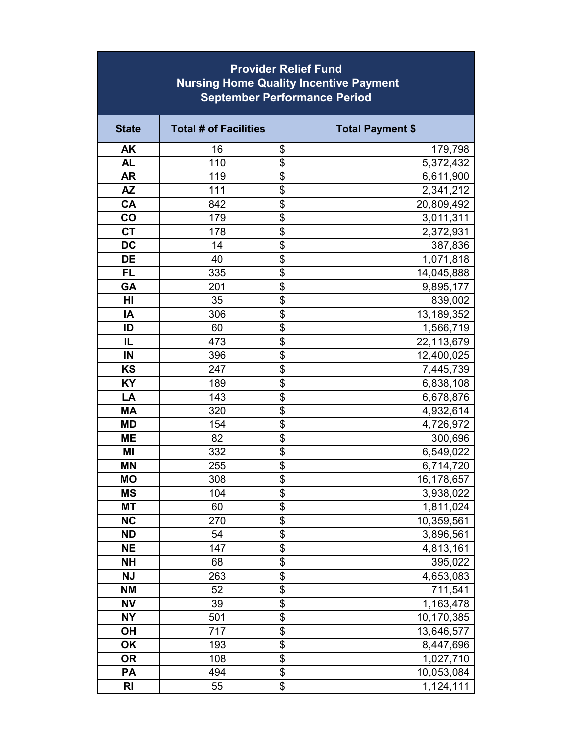| <b>Provider Relief Fund</b><br><b>Nursing Home Quality Incentive Payment</b><br><b>September Performance Period</b> |                              |                           |                        |  |  |
|---------------------------------------------------------------------------------------------------------------------|------------------------------|---------------------------|------------------------|--|--|
| <b>State</b>                                                                                                        | <b>Total # of Facilities</b> | <b>Total Payment \$</b>   |                        |  |  |
| <b>AK</b>                                                                                                           | 16                           | \$                        | 179,798                |  |  |
| <b>AL</b>                                                                                                           | 110                          | \$                        | 5,372,432              |  |  |
| <b>AR</b>                                                                                                           | 119                          | \$                        | 6,611,900              |  |  |
| <b>AZ</b>                                                                                                           | 111                          | \$                        | 2,341,212              |  |  |
| CA                                                                                                                  | 842                          | \$                        | 20,809,492             |  |  |
| co                                                                                                                  | 179                          | \$                        | 3,011,311              |  |  |
| <b>CT</b>                                                                                                           | 178                          | \$                        | 2,372,931              |  |  |
| <b>DC</b>                                                                                                           | 14                           | \$                        | 387,836                |  |  |
| <b>DE</b>                                                                                                           | 40                           | $\overline{\mathfrak{s}}$ | 1,071,818              |  |  |
| <b>FL</b>                                                                                                           | 335                          | \$                        | 14,045,888             |  |  |
| GA                                                                                                                  | 201                          | \$                        | 9,895,177              |  |  |
| HI                                                                                                                  | 35                           | $\overline{\mathbf{S}}$   | 839,002                |  |  |
| IA                                                                                                                  | 306                          | \$                        | 13,189,352             |  |  |
| ID                                                                                                                  | 60                           | \$                        | 1,566,719              |  |  |
| IL                                                                                                                  | 473                          | \$                        | 22,113,679             |  |  |
| IN                                                                                                                  | 396                          | \$                        | 12,400,025             |  |  |
| KS                                                                                                                  | 247                          | \$                        | 7,445,739              |  |  |
| KY                                                                                                                  | 189                          | \$                        | 6,838,108              |  |  |
| LA                                                                                                                  | 143                          | \$                        | 6,678,876              |  |  |
| <b>MA</b>                                                                                                           | 320                          | \$                        | 4,932,614              |  |  |
| <b>MD</b>                                                                                                           | 154                          | \$                        | 4,726,972              |  |  |
| <b>ME</b>                                                                                                           | 82                           | \$                        | 300,696                |  |  |
| MI                                                                                                                  | 332                          | \$                        | 6,549,022              |  |  |
| <b>MN</b>                                                                                                           | 255                          | \$                        | 6,714,720              |  |  |
| <b>MO</b>                                                                                                           | 308                          | $\overline{\mathfrak{s}}$ | 16,178,657             |  |  |
| <b>MS</b>                                                                                                           | 104                          | \$                        | 3,938,022              |  |  |
| <b>MT</b>                                                                                                           | 60                           | \$                        | 1,811,024              |  |  |
| <b>NC</b>                                                                                                           | 270                          | $\overline{\mathcal{G}}$  | 10,359,561             |  |  |
| <b>ND</b>                                                                                                           | 54                           | \$                        | 3,896,561              |  |  |
| <b>NE</b>                                                                                                           | 147                          | \$                        | 4,813,161              |  |  |
| <b>NH</b>                                                                                                           | 68                           | $\overline{\$}$           | 395,022                |  |  |
| <b>NJ</b>                                                                                                           | 263                          | \$                        | $\overline{4,}653,083$ |  |  |
| <b>NM</b>                                                                                                           | 52                           | \$                        | 711,541                |  |  |
| <b>NV</b>                                                                                                           | 39                           | \$                        | 1,163,478              |  |  |
| <b>NY</b>                                                                                                           | 501                          | \$                        | 10,170,385             |  |  |
| OH                                                                                                                  | 717                          | \$                        | 13,646,577             |  |  |
| <b>OK</b>                                                                                                           | 193                          | \$                        | 8,447,696              |  |  |
| <b>OR</b>                                                                                                           | 108                          | $\overline{\mathfrak{s}}$ | 1,027,710              |  |  |
| PA                                                                                                                  | 494                          | \$                        | 10,053,084             |  |  |
| <b>RI</b>                                                                                                           | 55                           | \$                        | 1,124,111              |  |  |